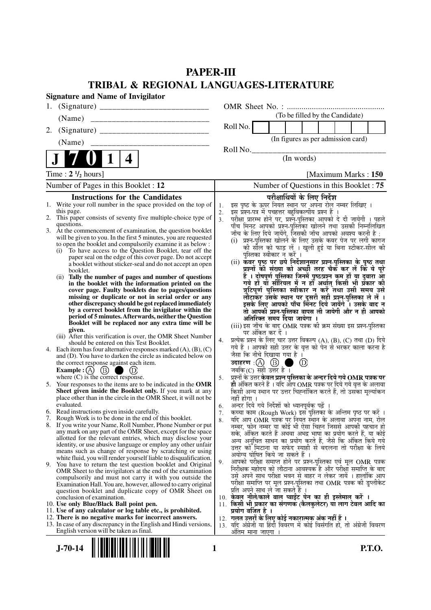# **PAPER-III TRIBAL & REGIONAL LANGUAGES-LITERATURE**

|    | <b>Signature and Name of Invigilator</b>                                                                                                                                                                                                                                                                                                                                                                                                                                                                                                                                                                                                                                                                                                                                                                                                                                                                                                                                                                                                                                                                                                |                      |                                                                                                                                                                                                                                                                                                                                                                                                                                                                                                                                                                                                                                                                                                                                                                                                                                                                                                                                                                                                                                                                                                                                                                                    |  |  |  |  |
|----|-----------------------------------------------------------------------------------------------------------------------------------------------------------------------------------------------------------------------------------------------------------------------------------------------------------------------------------------------------------------------------------------------------------------------------------------------------------------------------------------------------------------------------------------------------------------------------------------------------------------------------------------------------------------------------------------------------------------------------------------------------------------------------------------------------------------------------------------------------------------------------------------------------------------------------------------------------------------------------------------------------------------------------------------------------------------------------------------------------------------------------------------|----------------------|------------------------------------------------------------------------------------------------------------------------------------------------------------------------------------------------------------------------------------------------------------------------------------------------------------------------------------------------------------------------------------------------------------------------------------------------------------------------------------------------------------------------------------------------------------------------------------------------------------------------------------------------------------------------------------------------------------------------------------------------------------------------------------------------------------------------------------------------------------------------------------------------------------------------------------------------------------------------------------------------------------------------------------------------------------------------------------------------------------------------------------------------------------------------------------|--|--|--|--|
| 1. |                                                                                                                                                                                                                                                                                                                                                                                                                                                                                                                                                                                                                                                                                                                                                                                                                                                                                                                                                                                                                                                                                                                                         |                      |                                                                                                                                                                                                                                                                                                                                                                                                                                                                                                                                                                                                                                                                                                                                                                                                                                                                                                                                                                                                                                                                                                                                                                                    |  |  |  |  |
|    | (Name)                                                                                                                                                                                                                                                                                                                                                                                                                                                                                                                                                                                                                                                                                                                                                                                                                                                                                                                                                                                                                                                                                                                                  |                      | (To be filled by the Candidate)                                                                                                                                                                                                                                                                                                                                                                                                                                                                                                                                                                                                                                                                                                                                                                                                                                                                                                                                                                                                                                                                                                                                                    |  |  |  |  |
| 2. |                                                                                                                                                                                                                                                                                                                                                                                                                                                                                                                                                                                                                                                                                                                                                                                                                                                                                                                                                                                                                                                                                                                                         |                      | Roll No.                                                                                                                                                                                                                                                                                                                                                                                                                                                                                                                                                                                                                                                                                                                                                                                                                                                                                                                                                                                                                                                                                                                                                                           |  |  |  |  |
|    | (Name)                                                                                                                                                                                                                                                                                                                                                                                                                                                                                                                                                                                                                                                                                                                                                                                                                                                                                                                                                                                                                                                                                                                                  |                      | (In figures as per admission card)                                                                                                                                                                                                                                                                                                                                                                                                                                                                                                                                                                                                                                                                                                                                                                                                                                                                                                                                                                                                                                                                                                                                                 |  |  |  |  |
|    |                                                                                                                                                                                                                                                                                                                                                                                                                                                                                                                                                                                                                                                                                                                                                                                                                                                                                                                                                                                                                                                                                                                                         |                      | Roll No.                                                                                                                                                                                                                                                                                                                                                                                                                                                                                                                                                                                                                                                                                                                                                                                                                                                                                                                                                                                                                                                                                                                                                                           |  |  |  |  |
|    | 4                                                                                                                                                                                                                                                                                                                                                                                                                                                                                                                                                                                                                                                                                                                                                                                                                                                                                                                                                                                                                                                                                                                                       |                      | (In words)                                                                                                                                                                                                                                                                                                                                                                                                                                                                                                                                                                                                                                                                                                                                                                                                                                                                                                                                                                                                                                                                                                                                                                         |  |  |  |  |
|    | Time: $2 \frac{1}{2}$ hours]                                                                                                                                                                                                                                                                                                                                                                                                                                                                                                                                                                                                                                                                                                                                                                                                                                                                                                                                                                                                                                                                                                            |                      | [Maximum Marks: 150]                                                                                                                                                                                                                                                                                                                                                                                                                                                                                                                                                                                                                                                                                                                                                                                                                                                                                                                                                                                                                                                                                                                                                               |  |  |  |  |
|    | Number of Pages in this Booklet : 12                                                                                                                                                                                                                                                                                                                                                                                                                                                                                                                                                                                                                                                                                                                                                                                                                                                                                                                                                                                                                                                                                                    |                      | Number of Questions in this Booklet : 75                                                                                                                                                                                                                                                                                                                                                                                                                                                                                                                                                                                                                                                                                                                                                                                                                                                                                                                                                                                                                                                                                                                                           |  |  |  |  |
| 1. | <b>Instructions for the Candidates</b><br>Write your roll number in the space provided on the top of<br>this page.<br>2. This paper consists of seventy five multiple-choice type of<br>questions.<br>3. At the commencement of examination, the question booklet<br>will be given to you. In the first 5 minutes, you are requested<br>to open the booklet and compulsorily examine it as below :<br>(i) To have access to the Question Booklet, tear off the<br>paper seal on the edge of this cover page. Do not accept<br>a booklet without sticker-seal and do not accept an open<br>booklet.<br>(ii) Tally the number of pages and number of questions<br>in the booklet with the information printed on the<br>cover page. Faulty booklets due to pages/questions<br>missing or duplicate or not in serial order or any<br>other discrepancy should be got replaced immediately<br>by a correct booklet from the invigilator within the<br>period of 5 minutes. Afterwards, neither the Question<br>Booklet will be replaced nor any extra time will be<br>given.<br>(iii) After this verification is over, the OMR Sheet Number | 1.<br>2.<br>3.<br>4. | परीक्षार्थियों के लिए निर्देश<br>इस पृष्ठ के ऊपर नियत स्थान पर अपना रोल नम्बर लिखिए ।<br>इस प्रश्न-पत्र में पचहत्तर बहुविकल्पीय प्रश्न हैं ।<br>परीक्षा प्रारम्भ होने पर, प्रश्नॅ-पुस्तिका आपको दे दी जायेगी । पहले<br>पाँच मिनट आपको प्रश्न-पुस्तिका खोलने तथा उसकी निम्नलिखित<br>जाँच के लिए दिये जायेंगे, जिसकी जाँच आपको अवश्य करनी है :<br>(i) प्रश्न-पुस्तिका खोलने के लिए उसके कवर पेज पर लगी कागज<br>की सील को फाड़ लें । खुली हुई या बिना स्टीकर-सील की<br>पुस्तिका स्वीकार न करें ।<br>(ii) कवर पृष्ठ पर छपे निर्देशानुसार प्रश्न्-पुस्तिका के पृष्ठ तथा<br>प्रश्नों की संख्या को अच्छौ तरह चैक कर लें कि ये पुरे<br>हैं । दोषपूर्ण पुस्तिका जिनमें पृष्ठ/प्रश्न कम हों या दुबारा आ<br>गये हों या सीरियल में न हों अर्थात् किसी भी प्रकार की<br>त्रुटिपूर्ण पुस्तिका स्वीकार न करें तथा उसी समय उसे<br>लौटाकर उसके स्थान पर दूसरी सही प्रश्न-पुस्तिका ले लें ।<br>इसके लिए आपको पाँच मिनट दिये जायेंगे ँ। उसके बाद न<br>तो आपकी प्रश्न-पुस्तिका वापस ली जायेगी और न ही आपको<br>अतिरिक्त समय दिया जायेगा ।<br>(iii) इस जाँच के बाद OMR पत्रक की क्रम संख्या इस प्रश्न-पुस्तिका<br>पर अंकित कर दें ।<br>प्रत्येक प्रश्न के लिए चार उत्तर विकल्प (A), (B), (C) तथा (D) दिये |  |  |  |  |
|    | should be entered on this Test Booklet.<br>4. Each item has four alternative responses marked $(A)$ , $(B)$ , $(C)$<br>and (D). You have to darken the circle as indicated below on<br>the correct response against each item.<br><b>Example</b> : (A) $(B)$<br>(D)<br>where $(C)$ is the correct response.                                                                                                                                                                                                                                                                                                                                                                                                                                                                                                                                                                                                                                                                                                                                                                                                                             | 5.                   | गये हैं । आपको सही उत्तर के वृत्त को पेन से भरकर काला करना है<br>जैसा कि नीचे दिखाया गया है ।<br>उदाहरण: $(A)$ $(B)$<br>$\circled{D}$<br>जबकि (C) सही उत्तर है ।<br>प्रश्नों के उत्तर केवल प्रश्न पुस्तिका के अन्दर दिये गये $\bf OMR$ पत्रक पर                                                                                                                                                                                                                                                                                                                                                                                                                                                                                                                                                                                                                                                                                                                                                                                                                                                                                                                                    |  |  |  |  |
|    | 5. Your responses to the items are to be indicated in the OMR<br>Sheet given inside the Booklet only. If you mark at any<br>place other than in the circle in the OMR Sheet, it will not be<br>evaluated.                                                                                                                                                                                                                                                                                                                                                                                                                                                                                                                                                                                                                                                                                                                                                                                                                                                                                                                               | 6.                   | ही अंकित करने हैं । यदि आप OMR पत्रक पर दिये गये वृत्त के अलावा<br>किसी अन्य स्थान पर उत्तर चिह्नांकित करते हैं, तो उसका मृल्यांकन<br>नहीं होगा ।<br>अन्दर दिये गये निर्देशों को ध्यानपूर्वक पढ़ें                                                                                                                                                                                                                                                                                                                                                                                                                                                                                                                                                                                                                                                                                                                                                                                                                                                                                                                                                                                 |  |  |  |  |
|    | 6. Read instructions given inside carefully.<br>7. Rough Work is to be done in the end of this booklet.                                                                                                                                                                                                                                                                                                                                                                                                                                                                                                                                                                                                                                                                                                                                                                                                                                                                                                                                                                                                                                 | 7.                   | कच्चा काम (Rough Work) इस पुस्तिका के अन्तिम पृष्ठ पर करें ।                                                                                                                                                                                                                                                                                                                                                                                                                                                                                                                                                                                                                                                                                                                                                                                                                                                                                                                                                                                                                                                                                                                       |  |  |  |  |
|    | 8. If you write your Name, Roll Number, Phone Number or put<br>any mark on any part of the OMR Sheet, except for the space<br>allotted for the relevant entries, which may disclose your<br>identity, or use abusive language or employ any other unfair<br>means such as change of response by scratching or using                                                                                                                                                                                                                                                                                                                                                                                                                                                                                                                                                                                                                                                                                                                                                                                                                     | 8.                   | यदि आप OMR पत्रक पर नियत स्थान के अलावा अपना नाम, रोल<br>नम्बर, फोन नम्बर या कोई भी ऐसा चिह्न जिससे आपकी पहचान हो<br>सके, अंकित करते हैं अथवा अभद्र भाषा का प्रयोग करते हैं, या कोई<br>अन्य अनचित साधन का प्रयोग करते हैं, जैसे कि अंकित किये गये<br>उत्तर को मिटाना या सफेद स्याही से बदलना तो परीक्षा के लिये<br>अयोग्य घोषित किये जा सकते हैं ।                                                                                                                                                                                                                                                                                                                                                                                                                                                                                                                                                                                                                                                                                                                                                                                                                                 |  |  |  |  |
|    | white fluid, you will render yourself liable to disqualification.<br>9. You have to return the test question booklet and Original<br>OMR Sheet to the invigilators at the end of the examination<br>compulsorily and must not carry it with you outside the<br>Examination Hall. You are, however, allowed to carry original<br>question booklet and duplicate copy of OMR Sheet on                                                                                                                                                                                                                                                                                                                                                                                                                                                                                                                                                                                                                                                                                                                                                     | 9.                   | आपको परीक्षा समाप्त होने पर प्रश्न-पुस्तिका एवं मूल OMR पत्रक<br>निरीक्षक महोदय को लौटाना आवश्यक है और परीक्षा समाप्ति के बाद<br>उसे अपने साथ परीक्षा भवन से बाहर न लेकर जायें । हालांकि आप<br>परीक्षा समाप्ति पर मूल प्रश्न-पुस्तिका तथा OMR पत्रक की डुप्लीकेट<br>प्रति अपने साथ ले जा सकते हैं ।                                                                                                                                                                                                                                                                                                                                                                                                                                                                                                                                                                                                                                                                                                                                                                                                                                                                                |  |  |  |  |
|    | conclusion of examination.<br>10. Use only Blue/Black Ball point pen.                                                                                                                                                                                                                                                                                                                                                                                                                                                                                                                                                                                                                                                                                                                                                                                                                                                                                                                                                                                                                                                                   |                      | 10. केवल नीले/काले बाल प्वाईट पेन का ही इस्तेमाल करें ।<br>11. किसी भी प्रकार का संगणक (कैलकुलेटर) या लाग टेबल आदि का                                                                                                                                                                                                                                                                                                                                                                                                                                                                                                                                                                                                                                                                                                                                                                                                                                                                                                                                                                                                                                                              |  |  |  |  |
|    | 11. Use of any calculator or log table etc., is prohibited.<br>12. There is no negative marks for incorrect answers.<br>13. In case of any discrepancy in the English and Hindi versions,<br>English version will be taken as final.                                                                                                                                                                                                                                                                                                                                                                                                                                                                                                                                                                                                                                                                                                                                                                                                                                                                                                    |                      | प्रयोग वर्जित है ।<br>12. गलत उत्तरों के लिए कोई नकारात्मक अंक नहीं हैं ।<br>13. यदि अंग्रेजी या हिंदी विवरण में कोई विसंगति हो, तो अंग्रेजी विवरण<br>ओतम माना जाएगा                                                                                                                                                                                                                                                                                                                                                                                                                                                                                                                                                                                                                                                                                                                                                                                                                                                                                                                                                                                                               |  |  |  |  |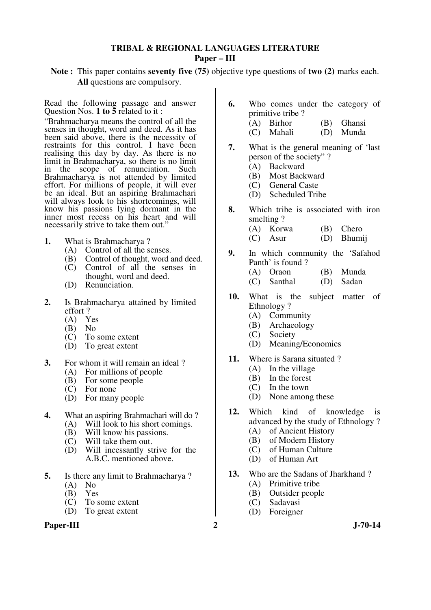### **TRIBAL & REGIONAL LANGUAGES LITERATURE Paper – III**

### **Note :** This paper contains **seventy five (75)** objective type questions of **two (2)** marks each. **All** questions are compulsory.

Read the following passage and answer Question Nos. **1 to 5** related to it :

"Brahmacharya means the control of all the senses in thought, word and deed. As it has been said above, there is the necessity of restraints for this control. I have been realising this day by day. As there is no limit in Brahmacharya, so there is no limit in the scope of renunciation. Such Brahmacharya is not attended by limited effort. For millions of people, it will ever be an ideal. But an aspiring Brahmachari will always look to his shortcomings, will know his passions lying dormant in the inner most recess on his heart and will necessarily strive to take them out."

- **1.** What is Brahmacharya ?
	- (A) Control of all the senses.
	- (B) Control of thought, word and deed.
	- (C) Control of all the senses in thought, word and deed.
	- (D) Renunciation.
- **2.** Is Brahmacharya attained by limited effort ?
	-
	- $(A)$  Yes<br> $(B)$  No  $(B)$
	- (C) To some extent
	- (D) To great extent
- **3.** For whom it will remain an ideal ?
	- (A) For millions of people
	- (B) For some people
	- (C) For none
	- (D) For many people
- **4.** What an aspiring Brahmachari will do?<br>(A) Will look to his short comings.
	- Will look to his short comings.
	- (B) Will know his passions.<br>(C) Will take them out.
	- (C) Will take them out.<br>(D) Will incessantly st
	- Will incessantly strive for the A.B.C. mentioned above.
- **5.** Is there any limit to Brahmacharya ?
	- $(A)$  No
	- (B) Yes<br>(C) To s
	- To some extent
	- (D) To great extent

### Paper-III 2 J-70-14

- **6.** Who comes under the category of primitive tribe ?
	- (A) Birhor (B) Ghansi
	- (C) Mahali (D) Munda
- **7.** What is the general meaning of 'last person of the society" ?
	- (A) Backward
	- (B) Most Backward
	- (C) General Caste
	- (D) Scheduled Tribe
- **8.** Which tribe is associated with iron smelting ?
	- (A) Korwa (B) Chero
	- (C) Asur (D) Bhumij
- **9.** In which community the 'Safahod Panth' is found ?
	- (A) Oraon (B) Munda
	- (C) Santhal (D) Sadan
- **10.** What is the subject matter of Ethnology ?
	- (A) Community
	- (B) Archaeology
	- (C) Society
	- (D) Meaning/Economics
- **11.** Where is Sarana situated ?
	- (A) In the village
	- (B) In the forest
	- (C) In the town
	- (D) None among these
- **12.** Which kind of knowledge is advanced by the study of Ethnology ?
	- (A) of Ancient History
	- (B) of Modern History
	- (C) of Human Culture
	- (D) of Human Art
- **13.** Who are the Sadans of Jharkhand ?
	- (A) Primitive tribe
	- (B) Outsider people
	- (C) Sadavasi
	- (D) Foreigner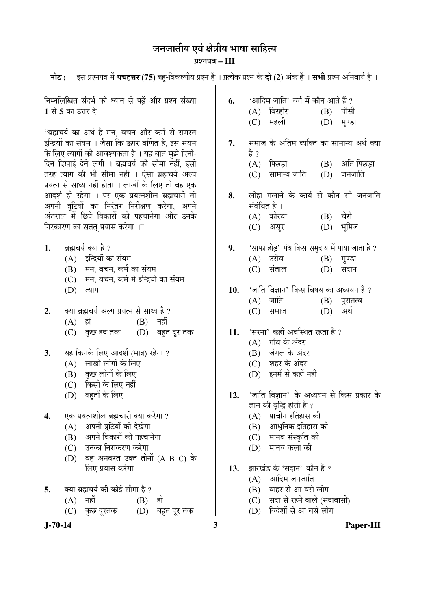# जनजातीय एवं क्षेत्रीय भाषा साहित्य

### ¯ÖÏ¿®Ö¯Ö¡Ö **– III**

**नोट: दस प्रश्नपत्र में पचहत्तर (75)** बहु-विकल्पीय प्रश्न हैं । प्रत्येक प्रश्न के **दो (2)** अंक हैं । सभी प्रश्न अनिवार्य हैं ।

निम्नलिखित संदर्भ को ध्यान से पढें और प्रश्न संख्या 1 से 5 का उत्तर दें <sup>:</sup>

"ब्रह्मचर्य का अर्थ है मन, वचन और कर्म से समस्त इन्द्रियों का संयम । जैसा कि ऊपर वर्णित है. इस संयम के लिए त्यागों की आवश्यकता है । यह बात मुझे दिनों-दिन दिखाई देने लगी । ब्रह्मचर्य की सीमा नहीं, इसी तरह त्याग की भी सीमा नहीं । ऐसा ब्रह्मचर्य अल्प प्रयत्न से साध्य नहीं होता । लाखों के लिए तो वह एक आदर्श ही रहेगा । पर एक प्रयत्नशील ब्रह्मचारी तो अपनी त्रूटियों का निरंतर निरीक्षण करेगा, अपने अंतराल में छिपे विकारों को पहचानेगा और उनके निरकारण का सतत प्रयास करेगा ।"

- 1. ब्रह्मचर्य क्या है ?
	- $(A)$  इन्द्रियों का संयम
	- (B) मन, वचन, कर्म का संयम
	- (C) मन, वचन, कर्म में इन्द्रियों का संयम
	- $(D)$  त्याग
- 2. व्या ब्रह्मचर्य अल्प प्रयत्न से साध्य है ?
	- (A) हाँ (B) नहीं
	- $(C)$  कुछ हद तक  $(D)$  बहुत दूर तक
- 3. यह किनके लिए आदर्श (मात्र) रहेगा ?
	- $(A)$  लाखों लोगों के लिए
	- $(B)$  कुछ लोगों के लिए
	- (C) किसी के लिए नहीं
	- (D) बहतों के लिए
- **4.** एक प्रयत्नशील ब्रह्मचारी क्या करेगा ?
	- (A) अपनी त्रटियों को देखेगा
	- $(B)$  अपने विकारों को पहचानेगा
	- (C) उनका निराकरण करेगा
	- $(D)$  वह अनवरत उक्त तीनों  $(A \ B \ C)$  के लिए प्रयास करेगा
- 5. व्या ब्रह्मचर्य की कोई सीमा है ?
	- $(A)$  नहीं  $(B)$  हाँ
	- (C) कुछ दूरतक (D) बहुत दूर तक
- 

**6.** 'आदिम जाति' वर्ग में कौन आते हैं ?  $(A)$  बिरहोर  $(B)$  घाँसी (C) महली (D) मुण्डा 7. समाज के अंतिम व्यक्ति का सामान्य अर्थ क्या हे ?  $(A)$  पिछड़ा  $(B)$  अति पिछड़ा  $(C)$  सामान्य जाति  $(D)$  जनजाति 8. लोहा गलाने के कार्य से कौन सी जनजाति संबंधित है ।  $(A)$  कोरवा  $(B)$  चेरो (C) असुर (D) भूमिज **9.** 'साफा होड़' पंथ किस समुदाय में पाया जाता है ?  $(A)$  उराँव  $(B)$  मण्डा (C) संताल (D) सदान 10. 'जाति विज्ञान' किस विषय का अध्ययन है ?  $(A)$  जाति  $(B)$  पुरातत्व (C) समाज (D) अर्थ 11. 'सरना' कहाँ अवस्थित रहता है ?  $(A)$  गाँव के अंदर (B) जंगल के अंदर (C) शहर के अंदर (D) इनमें से कहीं नहीं 12. 'जाति विज्ञान' के अध्ययन से किस प्रकार के ज्ञान की वृद्धि होती है ?

- $(A)$  प्राचीन इतिहास की
- $(B)$  आधुनिक इतिहास की
- (C) मानव संस्कृति की
- $(D)$  मानव कला की
- 13. झारखंड के 'सदान' कौन हैं ?
	- $(A)$  आदिम जनजाति
	- (B) बाहर से आ बसे लोग
	- (C) सदा से रहने वाले (सदावासी)
	- (D) विदेशों से आ बसे लोग
- **J-70-14 3 Paper-III**
-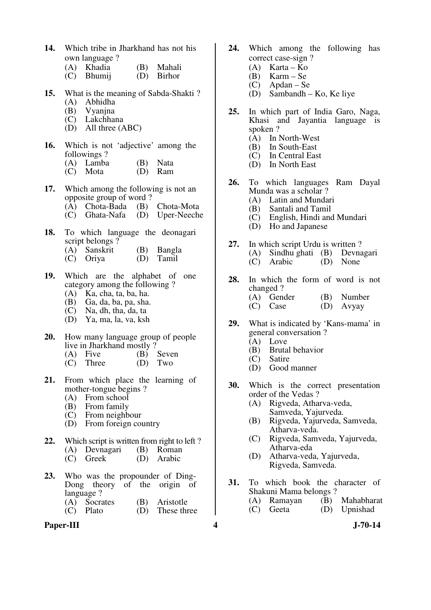**14.** Which tribe in Jharkhand has not his own language ?

| (A) Khadia | (B)        | Mahali |
|------------|------------|--------|
|            | $\sqrt{N}$ |        |

- (C) Bhumij (D) Birhor
- **15.** What is the meaning of Sabda-Shakti ?
	- (A) Abhidha
	- (B) Vyanjna
	- (C) Lakchhana
	- (D) All three (ABC)
- **16.** Which is not 'adjective' among the followings ?
	- (A) Lamba (B) Nata<br>(C) Mota (D) Ram
	- $(C)$  Mota
- **17.** Which among the following is not an opposite group of word ? (A) Chota-Bada (B) Chota-Mota
	- (C) Ghata-Nafa (D) Uper-Neeche
	-
- **18.** To which language the deonagari script belongs ?
	- (A) Sanskrit (B) Bangla<br>(C) Oriva (D) Tamil
	- (C) Oriya
- **19.** Which are the alphabet of one category among the following ?
	- (A) Ka, cha, ta, ba, ha.
	- (B) Ga, da, ba, pa, sha.
	- (C) Na, dh, tha, da, ta
	- (D) Ya, ma, la, va, ksh
- **20.** How many language group of people live in Jharkhand mostly ?<br>(A) Five (B) Seven
	- (A) Five  $(B)$  Seve  $(C)$  Three  $(D)$  Two
	- Three
- **21.** From which place the learning of mother-tongue begins ?
	- (A) From school
- (B) From family
- (C) From neighbour
	- (D) From foreign country
- **22.** Which script is written from right to left?<br>(A) Devnagari (B) Roman
	- (A) Devnagari<br>(C) Greek
	- (D) Arabic
- **23.** Who was the propounder of Ding-Dong theory of the origin of language ? (A) Socrates (B) Aristotle<br>(C) Plato (D) These thr
	- $(D)$  These three
- **Paper-III 4 J-70-14**
- **24.** Which among the following has correct case-sign ?
	- (A) Karta Ko<br>(B) Karm Se
	- $Karm Se$
	- $(C)$  Apdan Se
	- (D) Sambandh Ko, Ke liye
- **25.** In which part of India Garo, Naga, Khasi and Jayantia language is spoken ?
	- (A) In North-West<br>(B) In South-East
	- (B) In South-East<br>(C) In Central Eas
	- In Central East
	- (D) In North East
- **26.** To which languages Ram Dayal Munda was a scholar ?
	- (A) Latin and Mundari
	- (B) Santali and Tamil
	- (C) English, Hindi and Mundari
	- (D) Ho and Japanese
- **27.** In which script Urdu is written ? (A) Sindhu ghati (B) Devnagari
	- (C) Arabic (D) None
- **28.** In which the form of word is not changed ?
	- (A) Gender (B) Number<br>
	(C) Case (D) Avvay  $(D)$  Avyay
- **29.** What is indicated by 'Kans-mama' in general conversation ?
	- (A) Love
	- (B) Brutal behavior
	- (C) Satire
	- (D) Good manner
- **30.** Which is the correct presentation order of the Vedas ?
	- (A) Rigveda, Atharva-veda, Samveda, Yajurveda.
	- (B) Rigveda, Yajurveda, Samveda, Atharva-veda.
	- (C) Rigveda, Samveda, Yajurveda, Atharva-eda
	- (D) Atharva-veda, Yajurveda, Rigveda, Samveda.
- **31.** To which book the character of Shakuni Mama belongs ?
	- (A) Ramayan (B) Mahabharat
	- (C) Geeta (D) Upnishad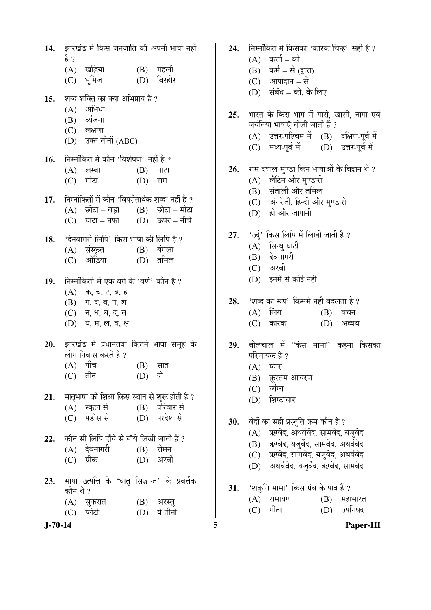14. झारखंड में किस जनजाति की अपनी भाषा नहीं है ? (A) खड़िया (B) महली (C) भूमिज (D) बिरहोर 15. शब्द शक्ति का क्या अभिप्राय है ?  $(A)$  अभिधा  $(B)$  व्यंजना  $(C)$  लक्षणा (D) उक्त तीनों (ABC) 16. <del>निम्नोंकित</del> में कौन 'विशेषण' नहीं है ?  $(A)$  लम्बा  $(B)$  नाटा (C) मोटा (D) राम 17. Firita i i कौन 'विपरीतार्थक शब्द' नहीं है ? (A) "छोटा – बड़ा (B) "छोटा – मोटा<br>(C) "घाटा – नफा (D) "ऊपर – नीचे  $(C)$  घाटा – नफा 18. 'देनवागरी लिपि' किस भाषा की लिपि है ? (A) संस्कृत (B) बंगला (C) ओड़िया (D) तमिल 19. • निम्नांकितों में एक वर्ग के 'वर्ण' कौन हैं ?  $(A)$  क, च, ट, ब, ह  $(B)$  ग, द, ब, प, श (C) न, ध, थ, द, त (D) य, म, ल, व, क्ष **20.** झारखंड में प्रधानतया कितने भाषा समूह के लोग निवास करते हैं ?  $(A)$  पाँच  $(B)$  सात (C) तीन (D) दो 21. THE FIGHT AND THE READ THE THE THE THE THE <sup>2</sup> (A) स्कूल से (B) परिवार से (C) पड़ोस से (D) परदेश से 22. Þकौन सी लिपि दाँये से बाँये लिखी जाती है ?  $(A)$  देवनागरी  $(B)$  रोमन (C) ग्रीक (D) अरबी 23. भाषा उत्पत्ति के 'धात सिद्धान्त' के प्रवर्त्तक कौन थे ?  $(A)$  सुकरात  $(B)$  अरस्तु (C) प्लेटो (D) ये तीनों

**J-70-14 5 Paper-III 24.** निम्नोंकित में किसका 'कारक चिन्ह' सही है ?  $(A)$  कर्त्ता – को  $(B)$  कर्म – से (द्वारा)  $(C)$  आपादान – से  $(D)$  संबंध – को, के लिए 25. भारत के किस भाग में गारो. खासी. नागा एवं जयंतिया भाषाएँ बोली जाती हैं ?  $(A)$  उत्तर-पश्चिम में  $(B)$  दक्षिण-पूर्व में (C) मध्य-पूर्व में (D) उत्तर-पूर्व में 26. राम दयाल मण्डा किन भाषाओं के विद्वान थे ?  $(A)$  लैटिन और मण्डारी (B) संताली और तमिल (C) अंगरेजी, हिन्दी और मण्डारी  $(D)$  हो और जापानी **27.** 'उर्द' किस लिपि में लिखी जाती है ?  $(A)$  सिन्धु घाटी  $(B)$  देवनागरी  $(C)$  अरबी (D) इनमें से कोई नहीं **28.** 'शब्द का रूप' किसमें नहीं बदलता है ?  $(A)$  लिंग  $(B)$  वचन  $(C)$  कारक  $(D)$  अव्यय 29. बोलचाल में ''कंस मामा'' कहना किसका परिचायक है ?  $(A)$  प्यार (B) क्ररतम आचरण (C) व्यंग्य (D) शिष्टाचार **30.** वेदों का सही प्रस्तुति क्रम कौन है ?  $(A)$  ऋग्वेद, अथर्ववेद, सामवेद, यजर्वेद  $(B)$  ऋग्वेद, यजुर्वेद, सामवेद, अथर्ववेद (C) ऋग्वेद, सामवेद, यजुर्वेद, अथर्ववेद (D) अथर्ववेद, यजर्वेद, ऋग्वेद, सामवेद 31. 'शकुनि मामा' किस ग्रंथ के पात्र हैं ?  $(A)$  रामायण  $(B)$  महाभारत (C) गीता (D) उपनिषद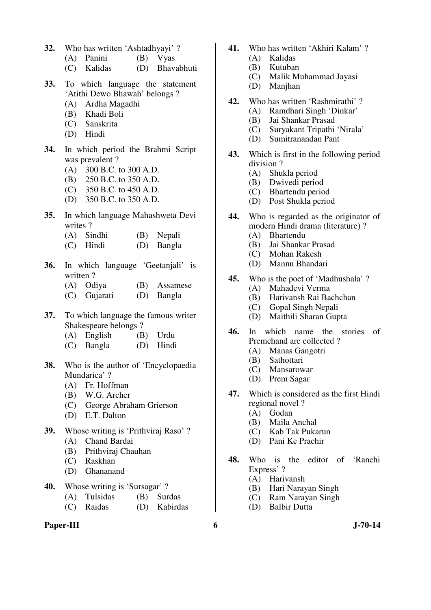- **32.** Who has written 'Ashtadhyayi' ?
	- (A) Panini (B) Vyas
	- (C) Kalidas (D) Bhavabhuti
- **33.** To which language the statement 'Atithi Dewo Bhawah' belongs ?
	- (A) Ardha Magadhi
	- (B) Khadi Boli
	- (C) Sanskrita
	- (D) Hindi
- **34.** In which period the Brahmi Script was prevalent ?
	- (A) 300 B.C. to 300 A.D.
	- (B) 250 B.C. to 350 A.D.
	- (C) 350 B.C. to 450 A.D.
	- (D) 350 B.C. to 350 A.D.
- **35.** In which language Mahashweta Devi writes ?
	- (A) Sindhi (B) Nepali
	- (C) Hindi (D) Bangla
- **36.** In which language 'Geetanjali' is written?
	- (A) Odiya (B) Assamese
	- (C) Gujarati (D) Bangla
- **37.** To which language the famous writer Shakespeare belongs ?
	- (A) English (B) Urdu
	- (C) Bangla (D) Hindi
- **38.** Who is the author of 'Encyclopaedia Mundarica' ?
	- (A) Fr. Hoffman
	- (B) W.G. Archer
	- (C) George Abraham Grierson
	- (D) E.T. Dalton
- **39.** Whose writing is 'Prithviraj Raso' ? (A) Chand Bardai
	- (B) Prithviraj Chauhan
	- (C) Raskhan
	- (D) Ghananand
- **40.** Whose writing is 'Sursagar' ?
	- (A) Tulsidas (B) Surdas
	- (C) Raidas (D) Kabirdas

#### Paper-III 6 J-70-14

- **41.** Who has written 'Akhiri Kalam' ?
	- (A) Kalidas
	- (B) Kutuban
	- (C) Malik Muhammad Jayasi
	- (D) Manjhan
- **42.** Who has written 'Rashmirathi' ?
	- (A) Ramdhari Singh 'Dinkar'
	- (B) Jai Shankar Prasad
	- (C) Suryakant Tripathi 'Nirala'
	- (D) Sumitranandan Pant
- **43.** Which is first in the following period division ?
	- (A) Shukla period
	- (B) Dwivedi period
	- (C) Bhartendu period
	- (D) Post Shukla period
- **44.** Who is regarded as the originator of modern Hindi drama (literature) ?
	- (A) Bhartendu
	- (B) Jai Shankar Prasad
	- (C) Mohan Rakesh
	- (D) Mannu Bhandari
- **45.** Who is the poet of 'Madhushala' ?
	- (A) Mahadevi Verma
		- (B) Harivansh Rai Bachchan
		- (C) Gopal Singh Nepali
		- (D) Maithili Sharan Gupta
- **46.** In which name the stories of Premchand are collected ?
	- (A) Manas Gangotri
	- (B) Sathottari
	- (C) Mansarowar
	- (D) Prem Sagar
- **47.** Which is considered as the first Hindi regional novel ?
	- (A) Godan
	- (B) Maila Anchal
	- (C) Kab Tak Pukarun
	- (D) Pani Ke Prachir
- **48.** Who is the editor of 'Ranchi Express' ?
	- (A) Harivansh
	- (B) Hari Narayan Singh
	- (C) Ram Narayan Singh
	- (D) Balbir Dutta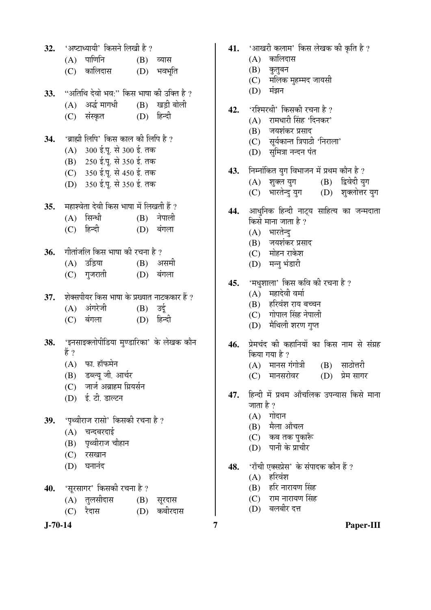32. 'अष्टाध्यायी' किसने लिखी है ?  $(A)$  पाणिनि  $(B)$  व्यास (C) कालिदास (D) भवभूति 33. "अतिथि देवो भव:" किस भाषा की उक्ति है ?  $(A)$  अर्द्ध मागधी  $(B)$  खडी बोली (C) संस्कृत (D) हिन्दी **34.** 'ब्राह्मी लिपि' किस काल की लिपि है ? (A) 300 ई.पू. से 300 ई. तक  $(B)$  250 ई.पू. से 350 ई. तक (C) 350 ई.पू. से 450 ई. तक (D) 350 ई.पू. से 350 ई. तक **35.** महाश्वेता देवी किस भाषा में लिखती हैं ?  $(A)$  सिन्धी  $(B)$  नेपाली (C) हिन्दी (D) बंगला **36.** गीतांजलि किस भाषा की रचना है ? (A) उड़िया (B) असमी (C) गुजराती (D) बंगला 37. शेक्सपीयर किस भाषा के प्रख्यात नाटककार हैं ? (A) अंगरेजी (B) उर्द (C) बंगला (D) हिन्दी 38. 'इनसाइक्लोपीडिया मण्डारिका' के लेखक कौन हें ?  $(A)$  फा. हॉफमेन (B) डब्ल्यू जी. आर्चर (C) जार्ज अब्राहम ग्रियर्सन (D) ई. टी. डाल्टन 39. 'पृथ्वीराज रासो' किसकी रचना है ?  $(A)$  चन्दबरदाई (B) पृथ्वीराज चौहान (C) रसखान  $(D)$  घनानंद 40. 'सूरसागर' किसकी रचना है ? (A) तुलसीदास (B) सूरदास (C) रैदास (D) कबीरदास

- 41. 'आखरी कलाम' किस लेखक की कृति है ?
	- $(A)$  कालिदास
		- $(B)$  कुतुबन
		- $(C)$  मलिक मुहम्मद जायसी
		- $(D)$  मंझन
- 42. 'रश्मिरथी' किसकी रचना है ?
	- $(A)$  रामधारी सिंह 'दिनकर'
	- (B) जयशंकर प्रसाद
	- (C) सूर्यकान्त त्रिपाठी 'निराला'
	- (D) सुमित्रा नन्दन पंत
- 43. Fiम्नोंकित युग विभाजन में प्रथम कौन है ?
	-
	- (A) शुक्ल युग (B) द्विवेदी युग<br>(C) भारतेन्दु युग (D) शुक्लोत्तर युग (C) भारतेन्दु युग
- 44. आधुनिक हिन्दी नाट्य साहित्य का जन्मदाता किसे माना जाता है ?
	- $(A)$  भारतेन्द्
	- $(B)$  जयशंकर प्रसाद
	- (C) मोहन राकेश
	- (D) मन्नु भंडारी
- **45.** 'मधुशाला' किस कवि की रचना है ?
	- $(A)$  महादेवी वर्मा
	- (B) हरिवंश राय बच्चन
	- $(C)$  गोपाल सिंह नेपाली
	- (D) मैथिली शरण गुप्त
- 46. प्रेमचंद की कहानियों का किस नाम से संग्रह किया गया है ?
	- $(A)$  मानस गंगोत्री  $(B)$  साठोत्तरी
	- (C) मानसरोवर (D) प्रेम सागर
- 47. हिन्दी में प्रथम आँचलिक उपन्यास किसे माना जाता है ?
	- $(A)$  गोदान
	- $(B)$  मैला आँचल
	- (C) कब तक पुकाँरू
	- (D) पानी के प्राचीर
- 48. 'राँची एक्सप्रेस' के संपादक कौन हैं ?
	- $(A)$  हरिवंश
	- $(B)$  हरि नारायण सिंह
	- $(C)$  राम नारायण सिंह
	- (D) बलबीर दत्त

**J-70-14 7 Paper-III**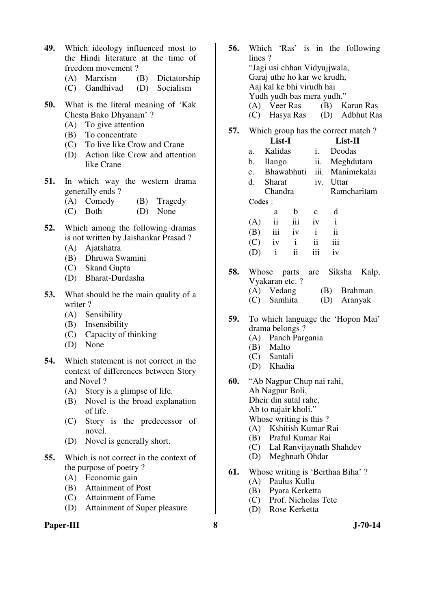- **49.** Which ideology influenced most to the Hindi literature at the time of freedom movement ?
	- (A) Marxism (B) Dictatorship
	- (C) Gandhivad (D) Socialism
- **50.** What is the literal meaning of 'Kak Chesta Bako Dhyanam' ?
	- (A) To give attention
	- (B) To concentrate
	- (C) To live like Crow and Crane
	- (D) Action like Crow and attention like Crane
- **51.** In which way the western drama generally ends ?
	- (A) Comedy (B) Tragedy
	- (C) Both (D) None
- **52.** Which among the following dramas is not written by Jaishankar Prasad ?
	- (A) Ajatshatra
	- (B) Dhruwa Swamini
	- (C) Skand Gupta
	- (D) Bharat-Durdasha
- **53.** What should be the main quality of a writer ?
	- (A) Sensibility
	- (B) Insensibility
	- (C) Capacity of thinking
	- (D) None
- **54.** Which statement is not correct in the context of differences between Story and Novel ?
	- (A) Story is a glimpse of life.
	- (B) Novel is the broad explanation of life.
	- (C) Story is the predecessor of novel.
	- (D) Novel is generally short.
- **55.** Which is not correct in the context of the purpose of poetry ?
	- (A) Economic gain
	- (B) Attainment of Post
	- (C) Attainment of Fame
	- (D) Attainment of Super pleasure

# **Paper-III** 3 J-70-14

- **56.** Which 'Ras' is in the following lines ? "Jagi usi chhan Vidyujjwala, Garaj uthe ho kar we krudh, Aaj kal ke bhi virudh hai Yudh yudh bas mera yudh." (A) Veer Ras (B) Karun Ras (C) Hasya Ras (D) Adbhut Ras
- **57.** Which group has the correct match ? **List-I List-II**
- a. Kalidas i. Deodas b. Ilango ii. Meghdutam c. Bhawabhuti iii. Manimekalai d. Sharat Chandra iv. I Ittar Ramcharitam Codes : a b c d  $(A)$  ii iii iv i (B) iii iv i ii
- **58.** Whose parts are Siksha Kalp, Vyakaran etc. ? (A) Vedang (B) Brahman<br>(C) Samhita (D) Aranyak (C) Samhita (D) Aranyak

 $(C)$  iv i ii iii

(D) i ii iii iv

- **59.** To which language the 'Hopon Mai' drama belongs ?
	- (A) Panch Pargania
	- (B) Malto
	- (C) Santali
	- (D) Khadia
- **60.** "Ab Nagpur Chup nai rahi, Ab Nagpur Boli, Dheir din sutal rahe, Ab to najair kholi." Whose writing is this ? (A) Kshitish Kumar Rai
	- (B) Praful Kumar Rai
	- (C) Lal Ranvijaynath Shahdev
	- (D) Meghnath Ohdar
- **61.** Whose writing is 'Berthaa Biha' ?
	- (A) Paulus Kullu
	- (B) Pyara Kerketta
	- (C) Prof. Nicholas Tete
	- (D) Rose Kerketta
-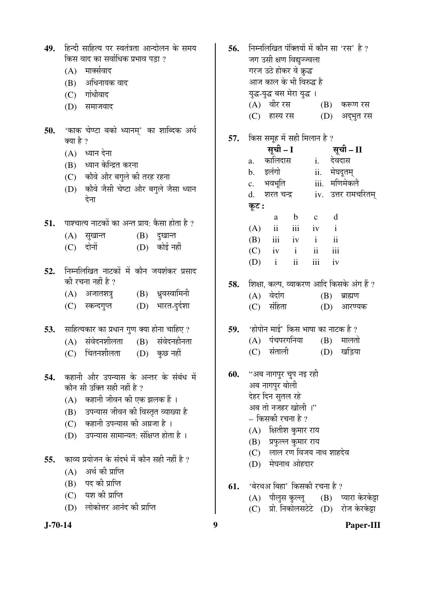| 49.        | हिन्दी साहित्य पर स्वतंत्रता आन्दोलन के समय<br>किस वाद का सर्वाधिक प्रभाव पड़ा ?<br>मार्क्सवाद<br>(A)<br>अधिनायक वाद<br>(B)<br>गांधीवाद<br>(C)<br>(D)<br>समाजवाद                                                                                                                                                       | 56. | निम्नलिखित पंक्तियों में कौन सा 'रस' है ?<br>जग उसी क्षण विद्युज्ज्वला<br>गरज उठे होकर वे क्रुद्ध<br>आज काल के भी विरुद्ध है<br>युद्ध-युद्ध बस मेरा युद्ध ।<br>(A) वीर रस<br>(B)<br>करूण रस<br>(C) हास्य रस<br>(D)<br>अद्भुत रस                  |
|------------|------------------------------------------------------------------------------------------------------------------------------------------------------------------------------------------------------------------------------------------------------------------------------------------------------------------------|-----|--------------------------------------------------------------------------------------------------------------------------------------------------------------------------------------------------------------------------------------------------|
| 50.        | 'काक चेण्टा बको ध्यानम्' का शाब्दिक अर्थ<br>क्या है ?<br>ध्यान देना<br>(A)<br>(B) ध्यान केन्द्रित करना<br>(C) कौवे और बगुले की तरह रहना                                                                                                                                                                                | 57. | किस समूह में सही मिलान है ?<br>सूची – I<br>सूची – II<br>कालिदास<br>देवदास<br>$i$ .<br>a.<br>इलंगो<br>ii.<br>मेघदूतम्<br>b.<br>iii. मणिमेकले<br>भवभूति<br>c.                                                                                      |
|            | कोवे जैसी चेष्टा और बगुले जैसा ध्यान<br>(D)<br>देना                                                                                                                                                                                                                                                                    |     | iv. उत्तर रामचरितम्<br>d.<br>शरत चन्द्र<br>कूट :                                                                                                                                                                                                 |
| 51.        | पाश्चात्य नाटकों का अन्त प्राय: कैसा होता है ?<br>सुखान्त<br>(B)<br>दुखान्त<br>(A)<br>(D) कोई नहीं<br>दोनों<br>(C)                                                                                                                                                                                                     |     | $\mathbf{d}$<br>$\mathbf b$<br>$\mathbf{C}$<br>a<br>ii<br>iii<br>(A)<br>iv<br>$\mathbf{i}$<br>iii<br>$\ddot{\rm ii}$<br>$\mathbf{i}$<br>iv<br>(B)<br>ii<br>iii<br>$\mathbf{i}$<br>(C)<br>iv<br>iii<br>$\mathbf{ii}$<br>$\mathbf{i}$<br>(D)<br>iv |
| 52.        | निम्नलिखित नाटकों में कौन जयशंकर प्रसाद<br>की रचना नहीं है ?<br>अजातशत्रु (B) ध्रुवस्वामिनी<br>(A)<br>(D) भारत-दुर्दशा<br>(C)<br>स्कन्दगुप्त                                                                                                                                                                           | 58. | शिक्षा, कल्प, व्याकरण आदि किसके अंग हैं ?<br>वेदांग<br>(A)<br>(B)<br>ब्राह्मण<br>संहिता<br>(C)<br>(D)<br>आरण्यक                                                                                                                                  |
| 53.        | साहित्यकार का प्रधान गुण क्या होना चाहिए ?<br>संवेदनशीलता<br>(B) संवेदनहीनता<br>(A)<br>चिंतनशीलता<br>(D) कुछ नहीं<br>(C)                                                                                                                                                                                               | 59. | 'होपोन माई' किस भाषा का नाटक है ?<br>पंचपरगनिया<br>(B)<br>मालतो<br>(A)<br>संताली<br>खड़िया<br>(C)<br>(D)                                                                                                                                         |
| 54.<br>55. | कहानी और उपन्यास के अन्तर के संबंध में<br>कौन सी उक्ति सही नहीं है ?<br>(A) कहानी जीवन की एक झलक हैं।<br>उपन्यास जीवन की विस्तृत व्याख्या है<br>(B)<br>कहानी उपन्यास की अग्रजा है ।<br>(C)<br>उपन्यास सामान्यत: संक्षिप्त होता है ।<br>(D)<br>काव्य प्रयोजन के संदर्भ में कौन सही नहीं है ?<br>अर्थ की प्राप्ति<br>(A) | 60. | ''अब नागपुर चुप नइ रही<br>अब नागपुर बोली<br>देहर दिन सुतल रहे<br>अब तो नजहर खोली ।"<br>– किसकी रचना है ?<br>क्षितीश कुमार राय<br>(A)<br>प्रफुल्ल कुमार राय<br>(B)<br>लाल रण विजय नाथ शाहदेव<br>(C)<br>(D) मेघनाथ ओहदार                           |
|            | पद की प्राप्ति<br>(B)<br>$(C)$ यश की प्राप्ति<br>लोकोत्तर आनंद की प्राप्ति<br>(D)                                                                                                                                                                                                                                      | 61. | 'बेरथअ बिहा' किसकी रचना है ?<br>(A) पौलुस कुल्लू<br>प्यारा केरकेझ<br>(B)<br>प्रो. निकोलसटेटे (D)<br>रोज केरकेट्टा<br>(C)                                                                                                                         |
| $J-70-14$  |                                                                                                                                                                                                                                                                                                                        | 9   | Paper-III                                                                                                                                                                                                                                        |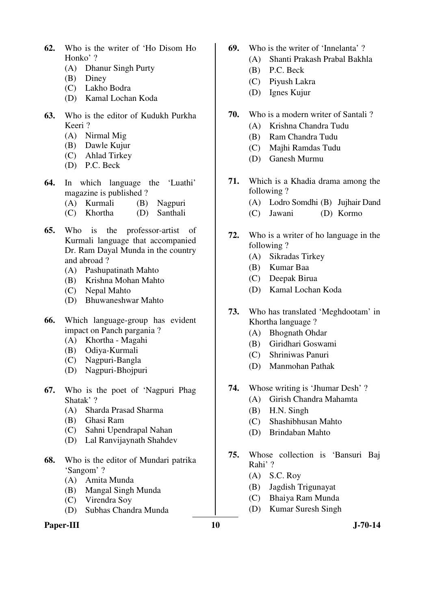- **62.** Who is the writer of 'Ho Disom Ho Honko' ?
	- (A) Dhanur Singh Purty
	- (B) Diney
	- (C) Lakho Bodra
	- (D) Kamal Lochan Koda
- **63.** Who is the editor of Kudukh Purkha Keeri ?
	- (A) Nirmal Mig
	- (B) Dawle Kujur
	- (C) Ahlad Tirkey
	- (D) P.C. Beck
- **64.** In which language the 'Luathi' magazine is published ?<br>(A) Kurmali (B)
	- (B) Nagpuri
	- (C) Khortha (D) Santhali
- **65.** Who is the professor-artist of Kurmali language that accompanied Dr. Ram Dayal Munda in the country and abroad ?
	- (A) Pashupatinath Mahto
	- (B) Krishna Mohan Mahto
	- (C) Nepal Mahto
	- (D) Bhuwaneshwar Mahto
- **66.** Which language-group has evident impact on Panch pargania ?
	- (A) Khortha Magahi
	- (B) Odiya-Kurmali
	- (C) Nagpuri-Bangla
	- (D) Nagpuri-Bhojpuri
- **67.** Who is the poet of 'Nagpuri Phag Shatak' ?
	- (A) Sharda Prasad Sharma
	- (B) Ghasi Ram
	- (C) Sahni Upendrapal Nahan
	- (D) Lal Ranvijaynath Shahdev
- **68.** Who is the editor of Mundari patrika 'Sangom' ?
	- (A) Amita Munda
	- (B) Mangal Singh Munda
	- (C) Virendra Soy
	- (D) Subhas Chandra Munda

# **Paper-III** J-70-14

- **69.** Who is the writer of 'Innelanta' ?
	- (A) Shanti Prakash Prabal Bakhla
		- (B) P.C. Beck
		- (C) Piyush Lakra
		- (D) Ignes Kujur
- **70.** Who is a modern writer of Santali ?
	- (A) Krishna Chandra Tudu
	- (B) Ram Chandra Tudu
	- (C) Majhi Ramdas Tudu
	- (D) Ganesh Murmu
- **71.** Which is a Khadia drama among the following ?
	- (A) Lodro Somdhi (B) Jujhair Dand
	- (C) Jawani (D) Kormo
- **72.** Who is a writer of ho language in the following ?
	- (A) Sikradas Tirkey
	- (B) Kumar Baa
	- (C) Deepak Birua
	- (D) Kamal Lochan Koda
- **73.** Who has translated 'Meghdootam' in Khortha language ?
	- (A) Bhognath Ohdar
	- (B) Giridhari Goswami
	- (C) Shriniwas Panuri
	- (D) Manmohan Pathak
- **74.** Whose writing is 'Jhumar Desh' ?
	- (A) Girish Chandra Mahamta
	- (B) H.N. Singh
	- (C) Shashibhusan Mahto
	- (D) Brindaban Mahto
- **75.** Whose collection is 'Bansuri Baj Rahi' ?
	- (A) S.C. Roy
	- (B) Jagdish Trigunayat
	- (C) Bhaiya Ram Munda
	- (D) Kumar Suresh Singh
-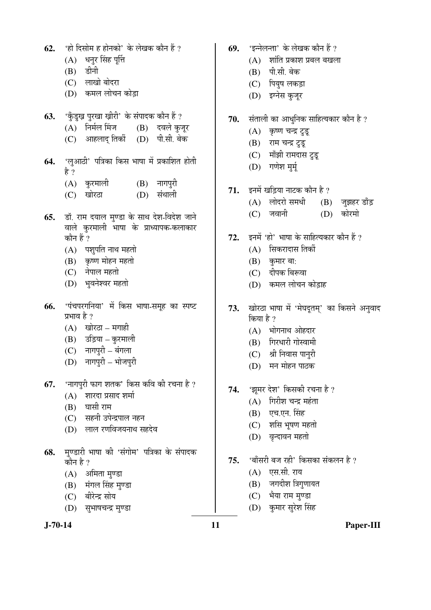|                                                            |                                                        | (A) धनुर सिंह पूर्त्ति                                                              |  |               |  |  |  |
|------------------------------------------------------------|--------------------------------------------------------|-------------------------------------------------------------------------------------|--|---------------|--|--|--|
|                                                            |                                                        | (B) डीनी                                                                            |  |               |  |  |  |
|                                                            |                                                        | (C) लाखो बोदरा                                                                      |  |               |  |  |  |
|                                                            |                                                        | (D) कमल लोचन कोड़ा                                                                  |  |               |  |  |  |
| 63.                                                        |                                                        | 'कुँडुख़ पुरखा ख़ीरी' के संपादक कौन हैं ?                                           |  |               |  |  |  |
|                                                            |                                                        | (A) निर्मल मिंज (B) दवले कुजूर                                                      |  |               |  |  |  |
|                                                            |                                                        | (C) आहलाद् तिर्की (D) पी.सी. बेक                                                    |  |               |  |  |  |
|                                                            | 64. 'लुआठी' पत्रिका किस भाषा में प्रकाशित होती<br>है ? |                                                                                     |  |               |  |  |  |
|                                                            |                                                        | (A) कुरमाली                                                                         |  | $(B)$ नागपुरी |  |  |  |
|                                                            |                                                        | (C) खोरठा                                                                           |  | (D) संथाली    |  |  |  |
| 65.                                                        | कौन हैं ?                                              | डॉ. राम दयाल मुण्डा के साथ देश-विदेश जाने<br>वाले कुरमाली भाषा के प्राध्यापक-कलाकार |  |               |  |  |  |
|                                                            |                                                        | (A) पशुपति नाथ महतो                                                                 |  |               |  |  |  |
|                                                            |                                                        | (B) कृष्ण मोहन महतो                                                                 |  |               |  |  |  |
|                                                            |                                                        | (C) नेपाल महतो                                                                      |  |               |  |  |  |
|                                                            |                                                        | (D) भुवनेश्वर महतो                                                                  |  |               |  |  |  |
| 66.                                                        |                                                        | 'पंचपरगनिया' में किस भाषा-समूह का स्पष्ट                                            |  |               |  |  |  |
|                                                            | प्रभाव है ?                                            |                                                                                     |  |               |  |  |  |
|                                                            |                                                        | (A) खोरठा – मगाही                                                                   |  |               |  |  |  |
|                                                            |                                                        | (B) उड़िया – कुरमाली                                                                |  |               |  |  |  |
|                                                            |                                                        | (C) नागपुरी – बंगला                                                                 |  |               |  |  |  |
|                                                            |                                                        | (D) नागपुरी - भोजपुरी                                                               |  |               |  |  |  |
| 67.                                                        |                                                        | 'नागपुरी फाग शतक' किस कवि की रचना है ?                                              |  |               |  |  |  |
|                                                            |                                                        | (A) शारदा प्रसाद शर्मा                                                              |  |               |  |  |  |
|                                                            |                                                        | (B) घासी राम                                                                        |  |               |  |  |  |
|                                                            |                                                        | (C) सहनी उपेन्द्रपाल नहन                                                            |  |               |  |  |  |
|                                                            |                                                        | (D) लाल रणविजयनाथ सहदेव                                                             |  |               |  |  |  |
| 68. मुण्डारी भाषा की 'संगोम' पत्रिका के संपादक<br>कौन है ? |                                                        |                                                                                     |  |               |  |  |  |
|                                                            |                                                        | (A) अमिता मुण्डा                                                                    |  |               |  |  |  |
|                                                            |                                                        | (B) मंगल सिंह मुण्डा                                                                |  |               |  |  |  |
|                                                            |                                                        | (C) बीरेन्द्र सोय                                                                   |  |               |  |  |  |
|                                                            |                                                        |                                                                                     |  |               |  |  |  |

**62.** 'हो दिसोम ह होनको' के लेखक कौन हैं ?

(D) सुभाषचन्द्र मुण्डा

- **69.** 'इन्नेलन्ता' के लेखक कौन हैं ?
	- $(A)$  शांति प्रकाश प्रबल बखला
	- (B) पी.सी. बेक
	- (C) पियुष लकड़ा
	- (D) इग्नेस कुजूर
- 70. संताली का आधुनिक साहित्यकार कौन है ?
	- $(A)$  कृष्ण चन्द्र टुडू
	- (B) राम चन्द्र टुडू
	- (C) मॉंझी रामदास टूडू
	- (D) गणेश मुर्मू
- 71. इनमें खड़िया नाटक कौन है ?
	- (A) लोदरो समधी (B) जुझहर डाँड
	- (C) जवानी (D) कोरमो
- **72.** इनमें 'हो' भाषा के साहित्यकार कौन हैं ?
	- $(A)$  सिकरादास तिर्की
	- $(B)$  कुमार बा:
	- (C) दीपक बिरूवा
	- (D) कमल लोचन कोड़ाह
- 73. खोरठा भाषा में 'मेघदूतम्' का किसने अनुवाद किया है ?
	- $(A)$  भोगनाथ ओहदार
	- $(B)$  गिरधारी गोस्वामी
	- $(C)$  श्री निवास पानुरी
	- (D) मन मोहन पाठक
- 74. 'झूमर देश' किसकी रचना है ?
	- $(A)$  गिरीश चन्द्र महंता
	- (B) एच.एन. सिंह
	- $(C)$  शसि भूषण महतो
	- (D) वृन्दावन महतो
- 75. <u>'बाँसरी बज रही' किसका संकलन है</u> ?
	- $(A)$  एस.सी. राय
	- $(B)$  जगदीश त्रिगुणायत
	- (C) भैया राम मुण्डा
	- (D) कुमार सुरेश सिंह

**J-70-14 11 Paper-III**